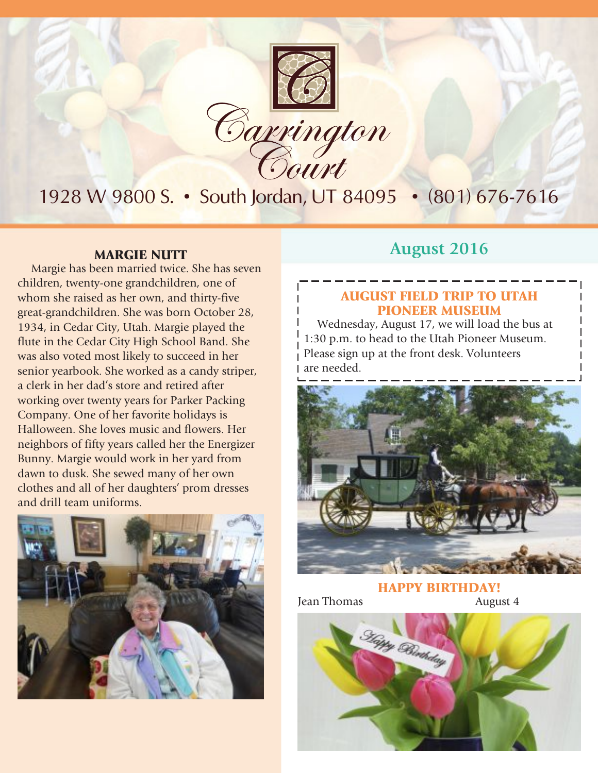

Margie has been married twice. She has seven children, twenty-one grandchildren, one of whom she raised as her own, and thirty-five great-grandchildren. She was born October 28, 1934, in Cedar City, Utah. Margie played the flute in the Cedar City High School Band. She was also voted most likely to succeed in her senior yearbook. She worked as a candy striper, a clerk in her dad's store and retired after working over twenty years for Parker Packing Company. One of her favorite holidays is Halloween. She loves music and flowers. Her neighbors of fifty years called her the Energizer Bunny. Margie would work in her yard from dawn to dusk. She sewed many of her own clothes and all of her daughters' prom dresses and drill team uniforms.



### **MARGIE NUTT August** 2016

### AUGUST FIELD TRIP TO UTAH PIONEER MUSEUM

Wednesday, August 17, we will load the bus at 1:30 p.m. to head to the Utah Pioneer Museum. Please sign up at the front desk. Volunteers are needed.



HAPPY BIRTHDAY!

Jean Thomas August 4

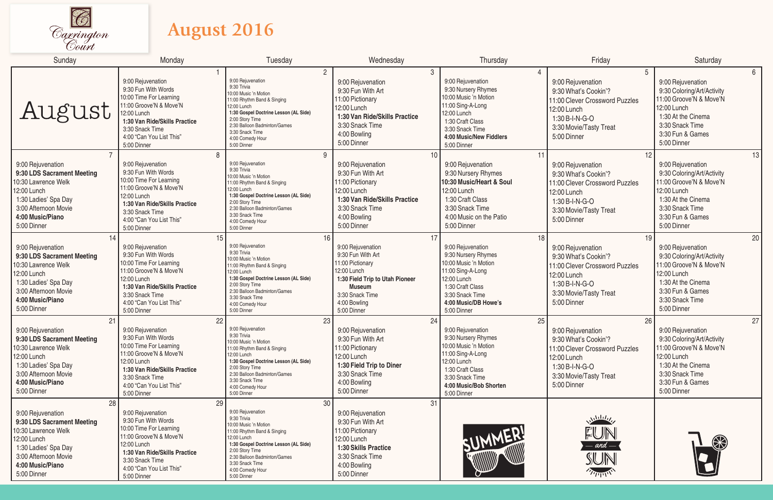

## **August 2016**

| Sunday                                                                                                                                                                         | Monday                                                                                                                                                                                                             | Tuesday                                                                                                                                                                                                                                                         | Wednesday                                                                                                                                                                             | Thursday                                                                                                                                                                                                        | Friday                                                                                                                                                      | Saturday                                                                                                                                                                                |
|--------------------------------------------------------------------------------------------------------------------------------------------------------------------------------|--------------------------------------------------------------------------------------------------------------------------------------------------------------------------------------------------------------------|-----------------------------------------------------------------------------------------------------------------------------------------------------------------------------------------------------------------------------------------------------------------|---------------------------------------------------------------------------------------------------------------------------------------------------------------------------------------|-----------------------------------------------------------------------------------------------------------------------------------------------------------------------------------------------------------------|-------------------------------------------------------------------------------------------------------------------------------------------------------------|-----------------------------------------------------------------------------------------------------------------------------------------------------------------------------------------|
| August                                                                                                                                                                         | 9:00 Rejuvenation<br>9:30 Fun With Words<br>10:00 Time For Learning<br>11:00 Groove'N & Move'N<br>12:00 Lunch<br>1:30 Van Ride/Skills Practice<br>3:30 Snack Time<br>4:00 "Can You List This"<br>5:00 Dinner       | 2<br>9:00 Rejuvenation<br>9:30 Trivia<br>10:00 Music 'n Motion<br>11:00 Rhythm Band & Singing<br>12:00 Lunch<br>1:30 Gospel Doctrine Lesson (AL Side)<br>2:00 Story Time<br>2:30 Balloon Badminton/Games<br>3:30 Snack Time<br>4:00 Comedy Hour<br>5:00 Dinner  | 3<br>9:00 Rejuvenation<br>9:30 Fun With Art<br>11:00 Pictionary<br>12:00 Lunch<br>1:30 Van Ride/Skills Practice<br>3:30 Snack Time<br>4:00 Bowling<br>5:00 Dinner                     | $\overline{4}$<br>9:00 Rejuvenation<br>9:30 Nursery Rhymes<br>10:00 Music 'n Motion<br>11:00 Sing-A-Long<br>12:00 Lunch<br>1:30 Craft Class<br>3:30 Snack Time<br><b>4:00 Music/New Fiddlers</b><br>5:00 Dinner | 5<br>9:00 Rejuvenation<br>9:30 What's Cookin'?<br>11:00 Clever Crossword Puzzles<br>12:00 Lunch<br>1:30 B-I-N-G-O<br>3:30 Movie/Tasty Treat<br>5:00 Dinner  | 6 <sup>1</sup><br>9:00 Rejuvenation<br>9:30 Coloring/Art/Activity<br>11:00 Groove'N & Move'N<br>12:00 Lunch<br>1:30 At the Cinema<br>3:30 Snack Time<br>3:30 Fun & Games<br>5:00 Dinner |
| 9:00 Rejuvenation<br>9:30 LDS Sacrament Meeting<br>10:30 Lawrence Welk<br>12:00 Lunch<br>1:30 Ladies' Spa Day<br>3:00 Afternoon Movie<br>4:00 Music/Piano<br>5:00 Dinner       | 8<br>9:00 Rejuvenation<br>9:30 Fun With Words<br>10:00 Time For Learning<br>11:00 Groove'N & Move'N<br>12:00 Lunch<br>1:30 Van Ride/Skills Practice<br>3:30 Snack Time<br>4:00 "Can You List This"<br>5:00 Dinner  | 9<br>9:00 Rejuvenation<br>9:30 Trivia<br>10:00 Music 'n Motion<br>11:00 Rhythm Band & Singing<br>12:00 Lunch<br>1:30 Gospel Doctrine Lesson (AL Side)<br>2:00 Story Time<br>2:30 Balloon Badminton/Games<br>3:30 Snack Time<br>4:00 Comedy Hour<br>5:00 Dinner  | 10<br>9:00 Rejuvenation<br>9:30 Fun With Art<br>11:00 Pictionary<br>12:00 Lunch<br>1:30 Van Ride/Skills Practice<br>3:30 Snack Time<br>4:00 Bowling<br>5:00 Dinner                    | 11<br>9:00 Rejuvenation<br>9:30 Nursery Rhymes<br>10:30 Music/Heart & Soul<br>12:00 Lunch<br>1:30 Craft Class<br>3:30 Snack Time<br>4:00 Music on the Patio<br>5:00 Dinner                                      | 12<br>9:00 Rejuvenation<br>9:30 What's Cookin'?<br>11:00 Clever Crossword Puzzles<br>12:00 Lunch<br>1:30 B-I-N-G-O<br>3:30 Movie/Tasty Treat<br>5:00 Dinner | 13<br>9:00 Rejuvenation<br>9:30 Coloring/Art/Activity<br>11:00 Groove'N & Move'N<br>12:00 Lunch<br>1:30 At the Cinema<br>3:30 Snack Time<br>3:30 Fun & Games<br>5:00 Dinner             |
| 14<br>9:00 Rejuvenation<br>9:30 LDS Sacrament Meeting<br>10:30 Lawrence Welk<br>12:00 Lunch<br>1:30 Ladies' Spa Day<br>3:00 Afternoon Movie<br>4:00 Music/Piano<br>5:00 Dinner | 15<br>9:00 Rejuvenation<br>9:30 Fun With Words<br>10:00 Time For Learning<br>11:00 Groove'N & Move'N<br>12:00 Lunch<br>1:30 Van Ride/Skills Practice<br>3:30 Snack Time<br>4:00 "Can You List This"<br>5:00 Dinner | 16<br>9:00 Rejuvenation<br>9:30 Trivia<br>10:00 Music 'n Motion<br>11:00 Rhythm Band & Singing<br>12:00 Lunch<br>1:30 Gospel Doctrine Lesson (AL Side)<br>2:00 Story Time<br>2:30 Balloon Badminton/Games<br>3:30 Snack Time<br>4:00 Comedy Hour<br>5:00 Dinner | 17<br>9:00 Rejuvenation<br>9:30 Fun With Art<br>11:00 Pictionary<br>12:00 Lunch<br>1:30 Field Trip to Utah Pioneer<br><b>Museum</b><br>3:30 Snack Time<br>4:00 Bowling<br>5:00 Dinner | 18<br>9:00 Rejuvenation<br>9:30 Nursery Rhymes<br>10:00 Music 'n Motion<br>11:00 Sing-A-Long<br>12:00 Lunch<br>1:30 Craft Class<br>3:30 Snack Time<br>4:00 Music/DB Howe's<br>5:00 Dinner                       | 19<br>9:00 Rejuvenation<br>9:30 What's Cookin'?<br>11:00 Clever Crossword Puzzles<br>12:00 Lunch<br>1:30 B-I-N-G-O<br>3:30 Movie/Tasty Treat<br>5:00 Dinner | 20<br>9:00 Rejuvenation<br>9:30 Coloring/Art/Activity<br>11:00 Groove'N & Move'N<br>12:00 Lunch<br>1:30 At the Cinema<br>3:30 Fun & Games<br>3:30 Snack Time<br>5:00 Dinner             |
| 21<br>9:00 Rejuvenation<br>9:30 LDS Sacrament Meeting<br>10:30 Lawrence Welk<br>12:00 Lunch<br>1:30 Ladies' Spa Day<br>3:00 Afternoon Movie<br>4:00 Music/Piano<br>5:00 Dinner | 22<br>9:00 Rejuvenation<br>9:30 Fun With Words<br>10:00 Time For Learning<br>11:00 Groove'N & Move'N<br>12:00 Lunch<br>1:30 Van Ride/Skills Practice<br>3:30 Snack Time<br>4:00 "Can You List This"<br>5:00 Dinner | 23<br>9:00 Rejuvenation<br>9:30 Trivia<br>10:00 Music 'n Motion<br>11:00 Rhythm Band & Singing<br>12:00 Lunch<br>1:30 Gospel Doctrine Lesson (AL Side)<br>2:00 Story Time<br>2:30 Balloon Badminton/Games<br>3:30 Snack Time<br>4:00 Comedy Hour<br>5:00 Dinner | 24<br>9:00 Rejuvenation<br>9:30 Fun With Art<br>11:00 Pictionary<br>12:00 Lunch<br>1:30 Field Trip to Diner<br>3:30 Snack Time<br>4:00 Bowling<br>5:00 Dinner                         | 25<br>9:00 Rejuvenation<br>9:30 Nursery Rhymes<br>10:00 Music 'n Motion<br>11:00 Sing-A-Long<br>12:00 Lunch<br>1:30 Craft Class<br>3:30 Snack Time<br>4:00 Music/Bob Shorten<br>5:00 Dinner                     | 26<br>9:00 Rejuvenation<br>9:30 What's Cookin'?<br>11:00 Clever Crossword Puzzles<br>12:00 Lunch<br>1:30 B-I-N-G-O<br>3:30 Movie/Tasty Treat<br>5:00 Dinner | 27<br>9:00 Rejuvenation<br>9:30 Coloring/Art/Activity<br>11:00 Groove'N & Move'N<br>12:00 Lunch<br>1:30 At the Cinema<br>3:30 Snack Time<br>3:30 Fun & Games<br>5:00 Dinner             |
| 28<br>9:00 Rejuvenation<br>9:30 LDS Sacrament Meeting<br>10:30 Lawrence Welk<br>12:00 Lunch<br>1:30 Ladies' Spa Day<br>3:00 Afternoon Movie<br>4:00 Music/Piano<br>5:00 Dinner | 29<br>9:00 Rejuvenation<br>9:30 Fun With Words<br>10:00 Time For Learning<br>11:00 Groove'N & Move'N<br>12:00 Lunch<br>1:30 Van Ride/Skills Practice<br>3:30 Snack Time<br>4:00 "Can You List This"<br>5:00 Dinner | 30<br>9:00 Rejuvenation<br>9:30 Trivia<br>10:00 Music 'n Motion<br>11:00 Rhythm Band & Singing<br>12:00 Lunch<br>1:30 Gospel Doctrine Lesson (AL Side)<br>2:00 Story Time<br>2:30 Balloon Badminton/Games<br>3:30 Snack Time<br>4:00 Comedy Hour<br>5:00 Dinner | 31<br>9:00 Rejuvenation<br>9:30 Fun With Art<br>11:00 Pictionary<br>12:00 Lunch<br><b>1:30 Skills Practice</b><br>3:30 Snack Time<br>4:00 Bowling<br>5:00 Dinner                      | SUMMER                                                                                                                                                                                                          | $N^{\text{th}}(l_1)$<br>FUN<br>$-$ and $-$<br>SUN<br>$\overline{\mathcal{U}_{\text{Lip}}^{\text{Lip}}$                                                      | $\circledast$                                                                                                                                                                           |